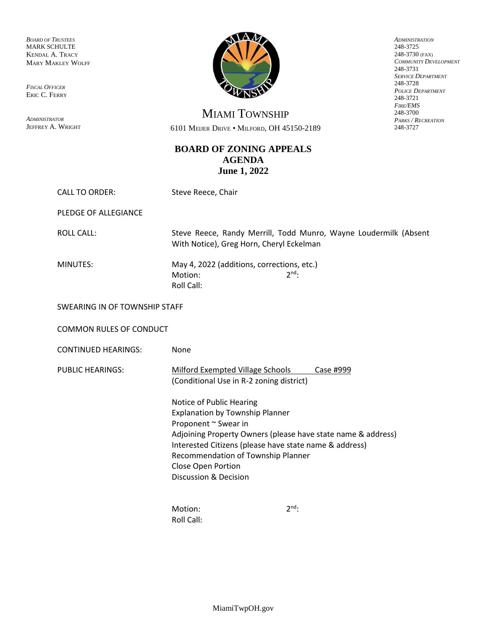*BOARD OF TRUSTEES* MARK SCHULTE KENDAL A. TRACY MARY MAKLEY WOLFF

*FISCAL OFFICER* ERIC C. FERRY

*ADMINISTRATOR* JEFFREY A. WRIGHT



*ADMINISTRATION* 248-3725 248-3730 (FAX) *COMMUNITY DEVELOPMENT* 248-3731 *SERVICE DEPARTMENT* 248-3728 *POLICE DEPARTMENT* 248-3721 *FIRE/EMS* 248-3700 *PARKS / RECREATION* 248-3727

MIAMI TOWNSHIP 6101 MEIJER DRIVE • MILFORD, OH 45150-2189

## **BOARD OF ZONING APPEALS AGENDA June 1, 2022**

| <b>CALL TO ORDER:</b>          | Steve Reece, Chair                                                                                                                                                                                                                                                                                                   |            |  |  |
|--------------------------------|----------------------------------------------------------------------------------------------------------------------------------------------------------------------------------------------------------------------------------------------------------------------------------------------------------------------|------------|--|--|
| PLEDGE OF ALLEGIANCE           |                                                                                                                                                                                                                                                                                                                      |            |  |  |
| <b>ROLL CALL:</b>              | Steve Reece, Randy Merrill, Todd Munro, Wayne Loudermilk (Absent<br>With Notice), Greg Horn, Cheryl Eckelman                                                                                                                                                                                                         |            |  |  |
| MINUTES:                       | May 4, 2022 (additions, corrections, etc.)<br>Motion:<br>Roll Call:                                                                                                                                                                                                                                                  | $2^{nd}$ : |  |  |
| SWEARING IN OF TOWNSHIP STAFF  |                                                                                                                                                                                                                                                                                                                      |            |  |  |
| <b>COMMON RULES OF CONDUCT</b> |                                                                                                                                                                                                                                                                                                                      |            |  |  |
| <b>CONTINUED HEARINGS:</b>     | None                                                                                                                                                                                                                                                                                                                 |            |  |  |
| <b>PUBLIC HEARINGS:</b>        | <b>Milford Exempted Village Schools</b><br>Case #999<br>(Conditional Use in R-2 zoning district)                                                                                                                                                                                                                     |            |  |  |
|                                | Notice of Public Hearing<br><b>Explanation by Township Planner</b><br>Proponent ~ Swear in<br>Adjoining Property Owners (please have state name & address)<br>Interested Citizens (please have state name & address)<br>Recommendation of Township Planner<br>Close Open Portion<br><b>Discussion &amp; Decision</b> |            |  |  |
|                                | Motion:<br>Roll Call:                                                                                                                                                                                                                                                                                                | $2^{nd}$ : |  |  |